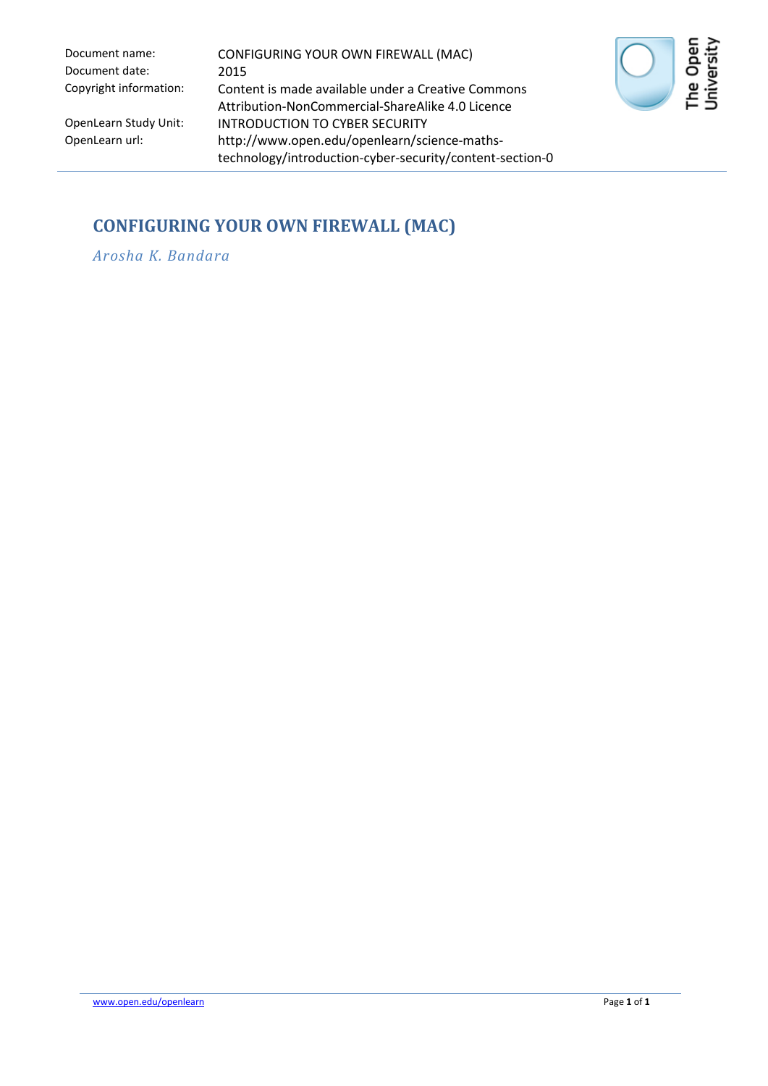Document date: 2015

Document name: CONFIGURING YOUR OWN FIREWALL (MAC) Copyright information: Content is made available under a Creative Commons Attribution-NonCommercial-ShareAlike 4.0 Licence OpenLearn Study Unit: INTRODUCTION TO CYBER SECURITY<br>OpenLearn url: http://www.open.edu/openlearn/sci http://www.open.edu/openlearn/science-mathstechnology/introduction-cyber-security/content-section-0



### **CONFIGURING YOUR OWN FIREWALL (MAC)**

*Arosha K. Bandara*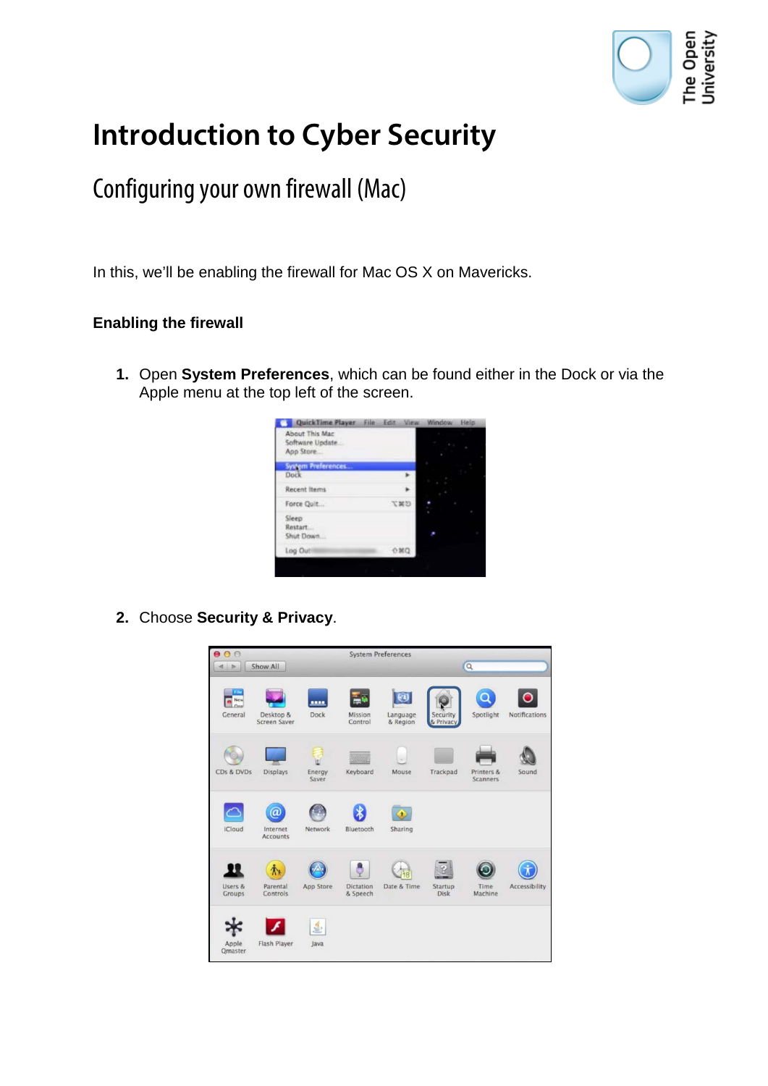

# **Introduction to Cyber Security**

## Configuring your own firewall (Mac)

In this, we'll be enabling the firewall for Mac OS X on Mavericks.

### **Enabling the firewall**

**1.** Open **System Preferences**, which can be found either in the Dock or via the Apple menu at the top left of the screen.



**2.** Choose **Security & Privacy**.

| 000                     |                                  |                 |                              | <b>System Preferences</b>                 |                        |                        |               |
|-------------------------|----------------------------------|-----------------|------------------------------|-------------------------------------------|------------------------|------------------------|---------------|
| $\left  \right $        | Show All                         |                 |                              |                                           |                        | $\alpha$               |               |
| New<br>General          | Desktop &<br>Screen Saver        | ---<br>Dock     | Mission<br>Control           | $\left( n\right)$<br>Language<br>& Region | Security<br>& Privacy  | Spotlight              | Notifications |
| CDs & DVDs              | Displays                         | Energy<br>Saver | Keyboard                     | Mouse                                     | Trackpad               | Printers &<br>Scanners | Sound         |
| <b>iCloud</b>           | a<br>Internet<br><b>Accounts</b> | <b>Network</b>  | Bluetooth                    | Sharing                                   |                        |                        |               |
| Users &<br>Groups       | Parental<br>Controls             | App Store       | <b>Dictation</b><br>& Speech | Date & Time                               | Startup<br><b>Disk</b> | Time<br>Machine        | Accessibility |
| Apple<br><b>Qmaster</b> | Flash Player                     | 鱼<br>Java       |                              |                                           |                        |                        |               |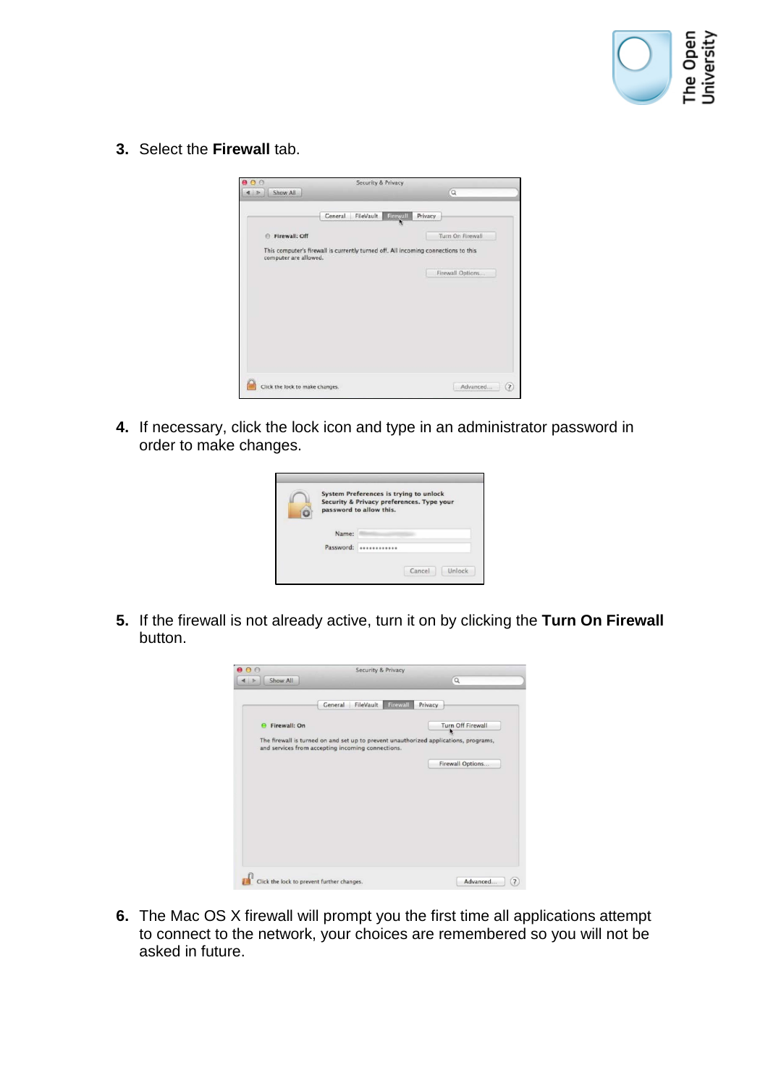

**3.** Select the **Firewall** tab.

| $\alpha$<br>Show All<br>FileVault Firewall<br><b>Ceneral</b><br>Privacy<br>Turn On Firewall<br><b>El Firewall: Off</b><br>This computer's firewall is currently turned off. All incoming connections to this<br>computer are allowed.<br>Firewall Options |
|-----------------------------------------------------------------------------------------------------------------------------------------------------------------------------------------------------------------------------------------------------------|
|                                                                                                                                                                                                                                                           |
|                                                                                                                                                                                                                                                           |
|                                                                                                                                                                                                                                                           |
|                                                                                                                                                                                                                                                           |
|                                                                                                                                                                                                                                                           |
|                                                                                                                                                                                                                                                           |

**4.** If necessary, click the lock icon and type in an administrator password in order to make changes.

| Name:         |  |
|---------------|--|
| Password:<br> |  |

**5.** If the firewall is not already active, turn it on by clicking the **Turn On Firewall** button.



**6.** The Mac OS X firewall will prompt you the first time all applications attempt to connect to the network, your choices are remembered so you will not be asked in future.